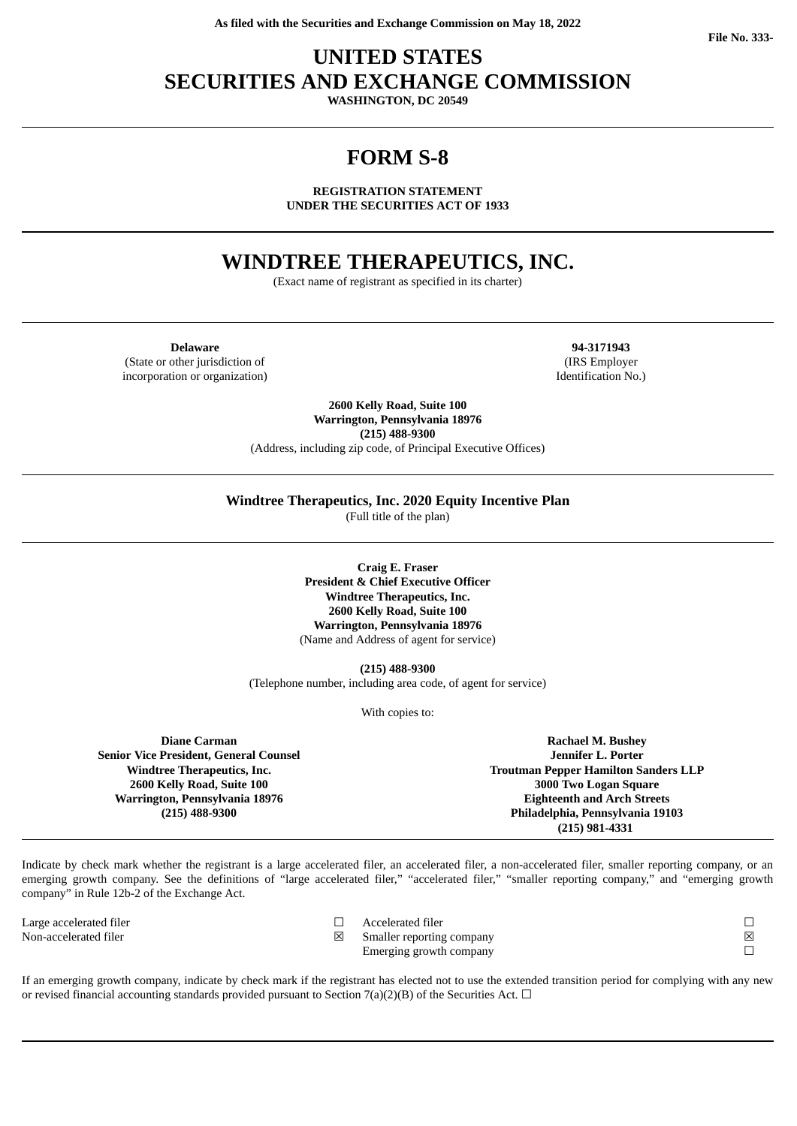# **UNITED STATES SECURITIES AND EXCHANGE COMMISSION**

**WASHINGTON, DC 20549**

# **FORM S-8**

**REGISTRATION STATEMENT UNDER THE SECURITIES ACT OF 1933**

# **WINDTREE THERAPEUTICS, INC.**

(Exact name of registrant as specified in its charter)

**Delaware 94-3171943** (State or other jurisdiction of incorporation or organization)

(IRS Employer Identification No.)

**2600 Kelly Road, Suite 100 Warrington, Pennsylvania 18976 (215) 488-9300** (Address, including zip code, of Principal Executive Offices)

**Windtree Therapeutics, Inc. 2020 Equity Incentive Plan**

(Full title of the plan)

**Craig E. Fraser President & Chief Executive Officer Windtree Therapeutics, Inc. 2600 Kelly Road, Suite 100 Warrington, Pennsylvania 18976** (Name and Address of agent for service)

**(215) 488-9300**

(Telephone number, including area code, of agent for service)

With copies to:

**Diane Carman Senior Vice President, General Counsel Windtree Therapeutics, Inc. 2600 Kelly Road, Suite 100 Warrington, Pennsylvania 18976 (215) 488-9300**

**Rachael M. Bushey Jennifer L. Porter Troutman Pepper Hamilton Sanders LLP 3000 Two Logan Square Eighteenth and Arch Streets Philadelphia, Pennsylvania 19103 (215) 981-4331**

Indicate by check mark whether the registrant is a large accelerated filer, an accelerated filer, a non-accelerated filer, smaller reporting company, or an emerging growth company. See the definitions of "large accelerated filer," "accelerated filer," "smaller reporting company," and "emerging growth company" in Rule 12b-2 of the Exchange Act.

Large accelerated filer Non-accelerated filer

| Accelerated filer         |  |
|---------------------------|--|
| Smaller reporting company |  |
| Emerging growth company   |  |

If an emerging growth company, indicate by check mark if the registrant has elected not to use the extended transition period for complying with any new or revised financial accounting standards provided pursuant to Section 7(a)(2)(B) of the Securities Act.  $\Box$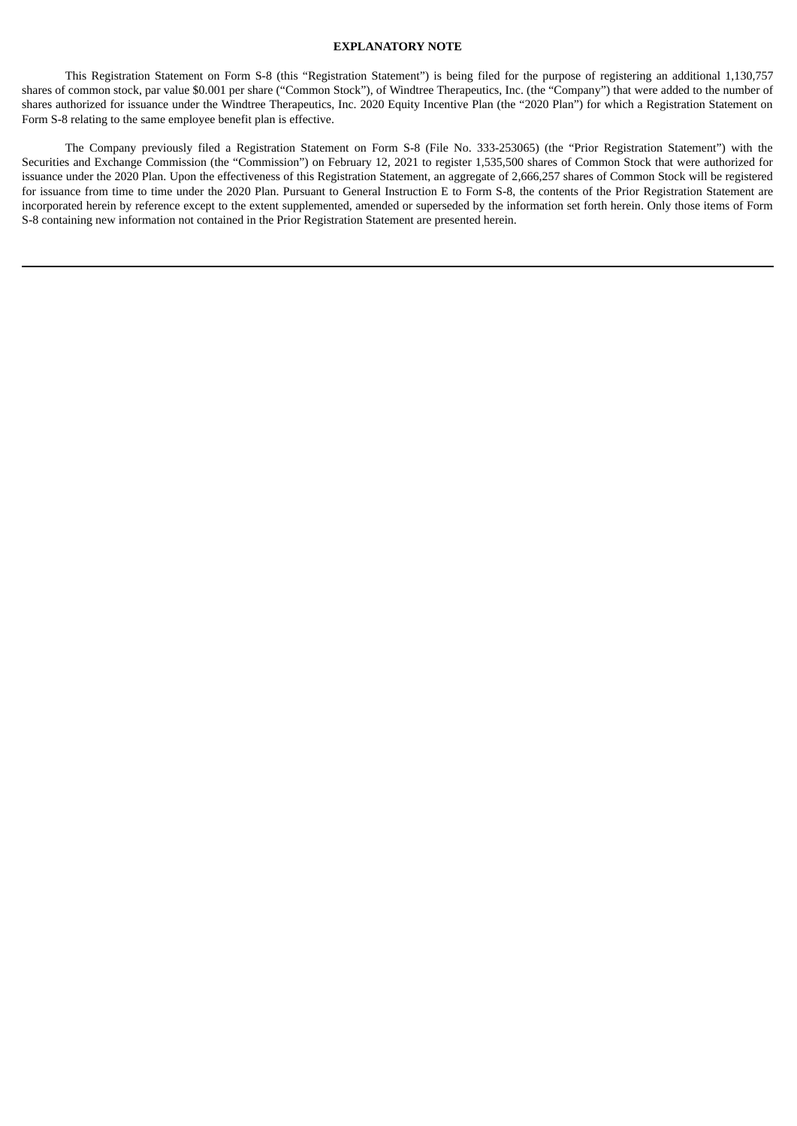# **EXPLANATORY NOTE**

This Registration Statement on Form S-8 (this "Registration Statement") is being filed for the purpose of registering an additional 1,130,757 shares of common stock, par value \$0.001 per share ("Common Stock"), of Windtree Therapeutics, Inc. (the "Company") that were added to the number of shares authorized for issuance under the Windtree Therapeutics, Inc. 2020 Equity Incentive Plan (the "2020 Plan") for which a Registration Statement on Form S-8 relating to the same employee benefit plan is effective.

The Company previously filed a Registration Statement on Form S-8 (File No. 333-253065) (the "Prior Registration Statement") with the Securities and Exchange Commission (the "Commission") on February 12, 2021 to register 1,535,500 shares of Common Stock that were authorized for issuance under the 2020 Plan. Upon the effectiveness of this Registration Statement, an aggregate of 2,666,257 shares of Common Stock will be registered for issuance from time to time under the 2020 Plan. Pursuant to General Instruction E to Form S-8, the contents of the Prior Registration Statement are incorporated herein by reference except to the extent supplemented, amended or superseded by the information set forth herein. Only those items of Form S-8 containing new information not contained in the Prior Registration Statement are presented herein.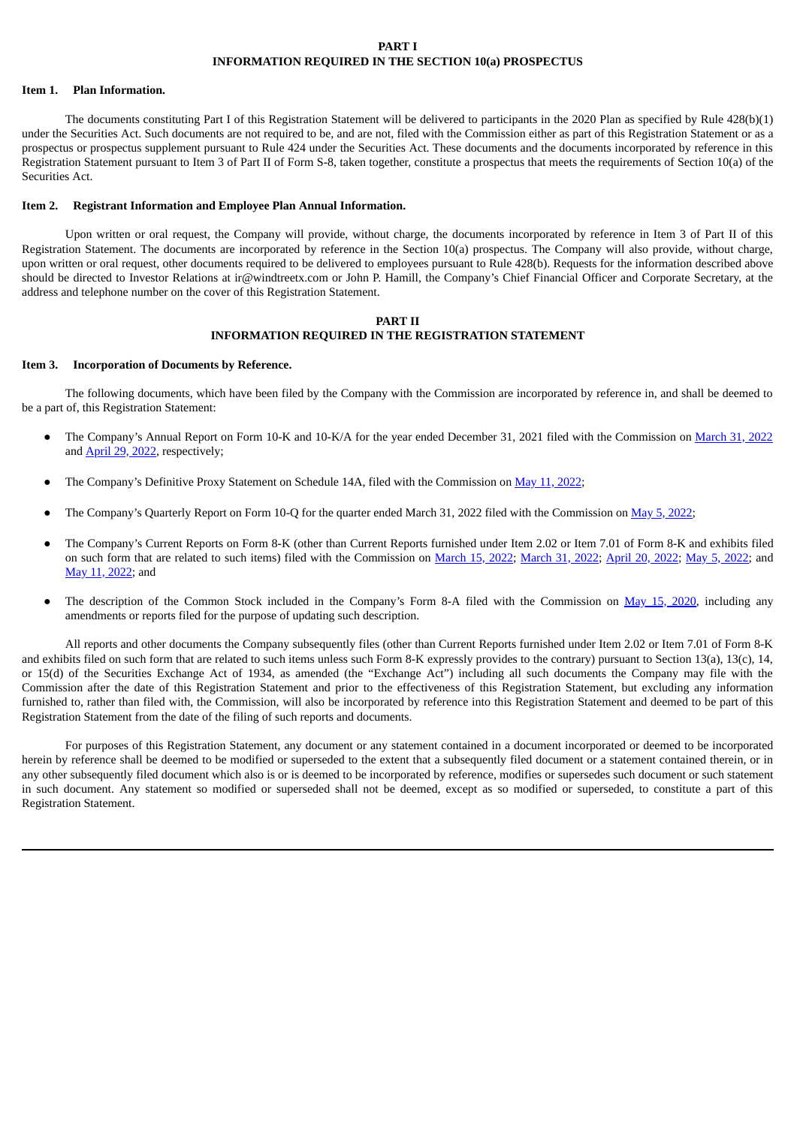## **PART I INFORMATION REQUIRED IN THE SECTION 10(a) PROSPECTUS**

### **Item 1. Plan Information.**

The documents constituting Part I of this Registration Statement will be delivered to participants in the 2020 Plan as specified by Rule 428(b)(1) under the Securities Act. Such documents are not required to be, and are not, filed with the Commission either as part of this Registration Statement or as a prospectus or prospectus supplement pursuant to Rule 424 under the Securities Act. These documents and the documents incorporated by reference in this Registration Statement pursuant to Item 3 of Part II of Form S-8, taken together, constitute a prospectus that meets the requirements of Section 10(a) of the Securities Act.

### **Item 2. Registrant Information and Employee Plan Annual Information.**

Upon written or oral request, the Company will provide, without charge, the documents incorporated by reference in Item 3 of Part II of this Registration Statement. The documents are incorporated by reference in the Section 10(a) prospectus. The Company will also provide, without charge, upon written or oral request, other documents required to be delivered to employees pursuant to Rule 428(b). Requests for the information described above should be directed to Investor Relations at ir@windtreetx.com or John P. Hamill, the Company's Chief Financial Officer and Corporate Secretary, at the address and telephone number on the cover of this Registration Statement.

# **PART II INFORMATION REQUIRED IN THE REGISTRATION STATEMENT**

### **Item 3. Incorporation of Documents by Reference.**

The following documents, which have been filed by the Company with the Commission are incorporated by reference in, and shall be deemed to be a part of, this Registration Statement:

- The Company's Annual Report on Form 10-K and 10-K/A for the year ended December 31, 2021 filed with the Commission on [March](http://www.sec.gov/ix?doc=/Archives/edgar/data/946486/000143774922007757/wint20211231_10k.htm) 31, 2022 and [April](http://www.sec.gov/ix?doc=/Archives/edgar/data/946486/000143774922010256/wint20220331_10ka.htm) 29, 2022, respectively;
- The Company's Definitive Proxy Statement on Schedule 14A, filed with the Commission on May 11, [2022](http://www.sec.gov/Archives/edgar/data/946486/000143774922011924/wint20220508_def14a.htm);
- The Company's Quarterly Report on Form 10-Q for the quarter ended March 31, [2022](http://www.sec.gov/ix?doc=/Archives/edgar/data/946486/000143774922011122/wint20220331_10q.htm) filed with the Commission on May 5, 2022;
- The Company's Current Reports on Form 8-K (other than Current Reports furnished under Item 2.02 or Item 7.01 of Form 8-K and exhibits filed on such form that are related to such items) filed with the Commission on [March](http://www.sec.gov/ix?doc=/Archives/edgar/data/946486/000143774922007759/wint20220330_8k.htm) 15, 2022; March 31, 2022; [April](http://www.sec.gov/ix?doc=/Archives/edgar/data/946486/000143774922009283/wint20220419_8k.htm) 20, [2022;](http://www.sec.gov/ix?doc=/Archives/edgar/data/946486/000143774922011123/wint20220406_8k.htm) May 5, 2022; and May 11, [2022;](http://www.sec.gov/ix?doc=/Archives/edgar/data/946486/000143774922011918/wint20220511_8k.htm) and
- The description of the Common Stock included in the Company's Form 8-A filed with the Commission on May 15, [2020](http://www.sec.gov/Archives/edgar/data/946486/000143774920010889/wint20200511_8a12b.htm), including any amendments or reports filed for the purpose of updating such description.

All reports and other documents the Company subsequently files (other than Current Reports furnished under Item 2.02 or Item 7.01 of Form 8-K and exhibits filed on such form that are related to such items unless such Form 8-K expressly provides to the contrary) pursuant to Section 13(a), 13(c), 14, or 15(d) of the Securities Exchange Act of 1934, as amended (the "Exchange Act") including all such documents the Company may file with the Commission after the date of this Registration Statement and prior to the effectiveness of this Registration Statement, but excluding any information furnished to, rather than filed with, the Commission, will also be incorporated by reference into this Registration Statement and deemed to be part of this Registration Statement from the date of the filing of such reports and documents.

For purposes of this Registration Statement, any document or any statement contained in a document incorporated or deemed to be incorporated herein by reference shall be deemed to be modified or superseded to the extent that a subsequently filed document or a statement contained therein, or in any other subsequently filed document which also is or is deemed to be incorporated by reference, modifies or supersedes such document or such statement in such document. Any statement so modified or superseded shall not be deemed, except as so modified or superseded, to constitute a part of this Registration Statement.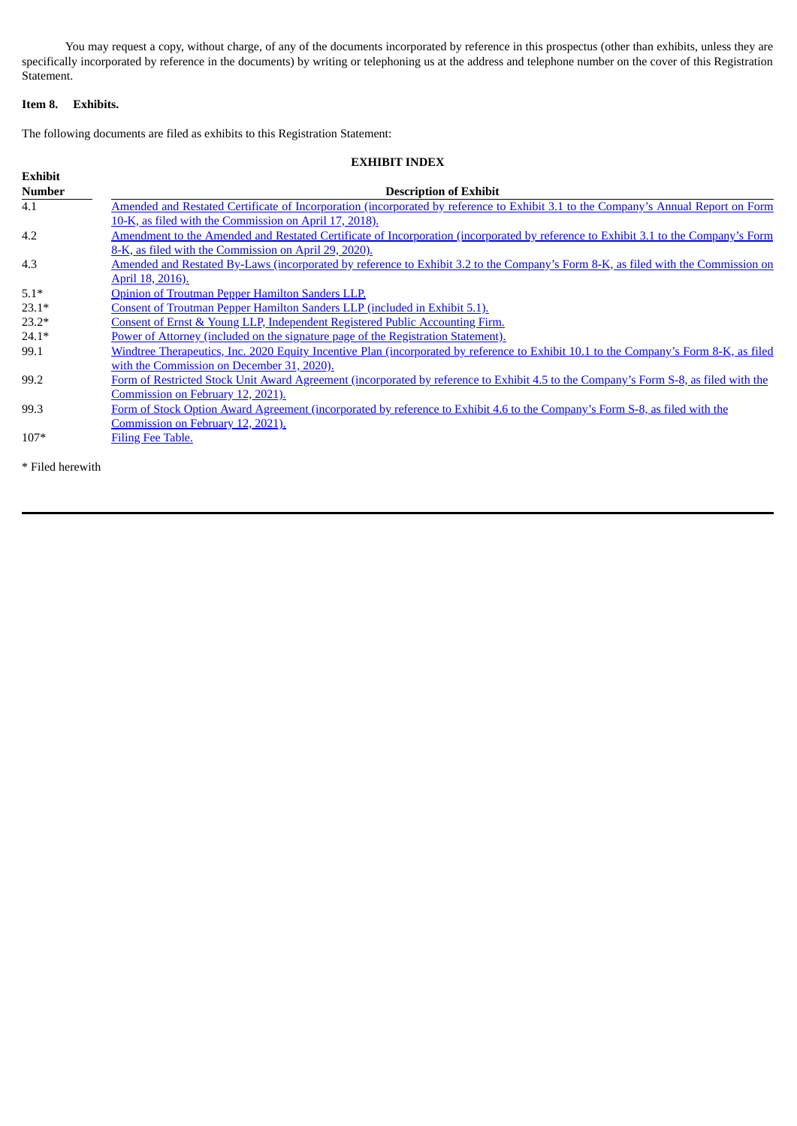You may request a copy, without charge, of any of the documents incorporated by reference in this prospectus (other than exhibits, unless they are specifically incorporated by reference in the documents) by writing or telephoning us at the address and telephone number on the cover of this Registration Statement.

# **Item 8. Exhibits.**

The following documents are filed as exhibits to this Registration Statement:

| <b>EXHIBIT INDEX</b> |                                                                                                                                       |  |  |  |  |
|----------------------|---------------------------------------------------------------------------------------------------------------------------------------|--|--|--|--|
| <b>Exhibit</b>       |                                                                                                                                       |  |  |  |  |
| <b>Number</b>        | <b>Description of Exhibit</b>                                                                                                         |  |  |  |  |
| 4.1                  | Amended and Restated Certificate of Incorporation (incorporated by reference to Exhibit 3.1 to the Company's Annual Report on Form    |  |  |  |  |
|                      | 10-K, as filed with the Commission on April 17, 2018).                                                                                |  |  |  |  |
| 4.2                  | Amendment to the Amended and Restated Certificate of Incorporation (incorporated by reference to Exhibit 3.1 to the Company's Form    |  |  |  |  |
|                      | 8-K, as filed with the Commission on April 29, 2020).                                                                                 |  |  |  |  |
| 4.3                  | Amended and Restated By-Laws (incorporated by reference to Exhibit 3.2 to the Company's Form 8-K, as filed with the Commission on     |  |  |  |  |
|                      | April 18, 2016).                                                                                                                      |  |  |  |  |
| $5.1*$               | Opinion of Troutman Pepper Hamilton Sanders LLP.                                                                                      |  |  |  |  |
| $23.1*$              | Consent of Troutman Pepper Hamilton Sanders LLP (included in Exhibit 5.1).                                                            |  |  |  |  |
| $23.2*$              | Consent of Ernst & Young LLP, Independent Registered Public Accounting Firm.                                                          |  |  |  |  |
| $24.1*$              | Power of Attorney (included on the signature page of the Registration Statement).                                                     |  |  |  |  |
| 99.1                 | Windtree Therapeutics, Inc. 2020 Equity Incentive Plan (incorporated by reference to Exhibit 10.1 to the Company's Form 8-K, as filed |  |  |  |  |
|                      | with the Commission on December 31, 2020).                                                                                            |  |  |  |  |
| 99.2                 | Form of Restricted Stock Unit Award Agreement (incorporated by reference to Exhibit 4.5 to the Company's Form S-8, as filed with the  |  |  |  |  |
|                      | Commission on February 12, 2021).                                                                                                     |  |  |  |  |
| 99.3                 | Form of Stock Option Award Agreement (incorporated by reference to Exhibit 4.6 to the Company's Form S-8, as filed with the           |  |  |  |  |
|                      | Commission on February 12, 2021).                                                                                                     |  |  |  |  |
| $107*$               | <b>Filing Fee Table.</b>                                                                                                              |  |  |  |  |
|                      |                                                                                                                                       |  |  |  |  |

\* Filed herewith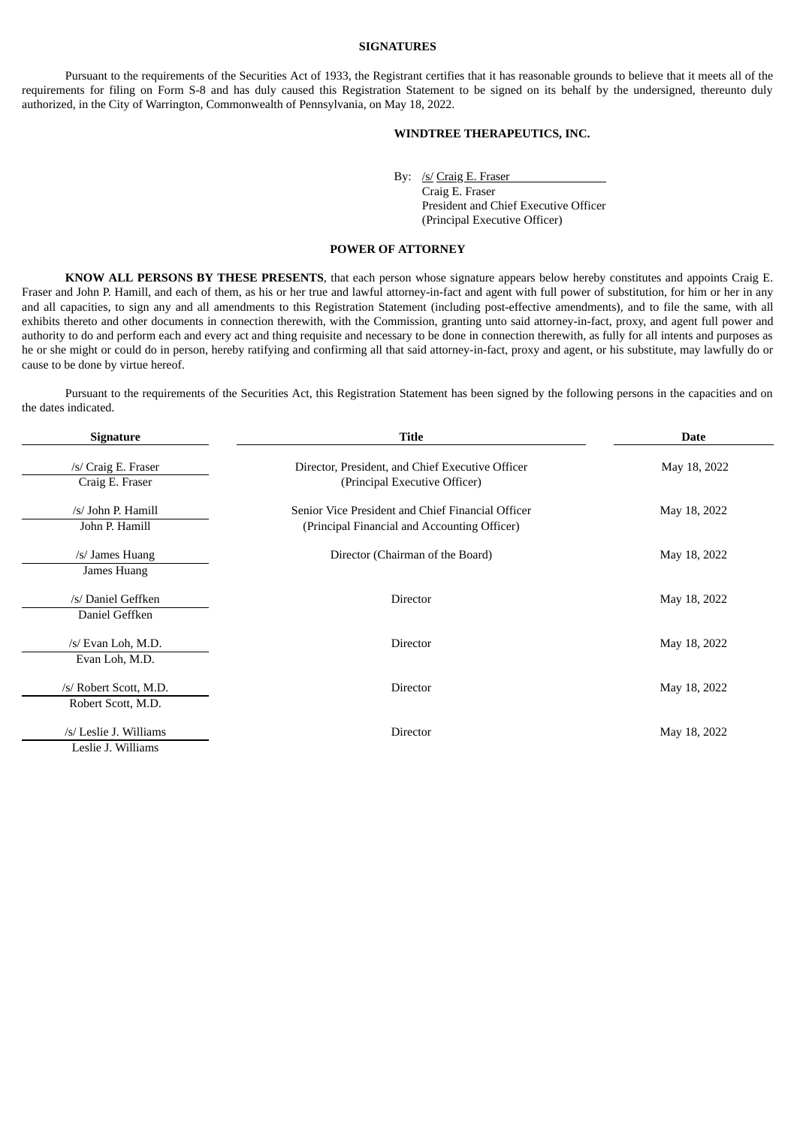#### **SIGNATURES**

Pursuant to the requirements of the Securities Act of 1933, the Registrant certifies that it has reasonable grounds to believe that it meets all of the requirements for filing on Form S-8 and has duly caused this Registration Statement to be signed on its behalf by the undersigned, thereunto duly authorized, in the City of Warrington, Commonwealth of Pennsylvania, on May 18, 2022.

# **WINDTREE THERAPEUTICS, INC.**

By: /s/ Craig E. Fraser Craig E. Fraser President and Chief Executive Officer (Principal Executive Officer)

# **POWER OF ATTORNEY**

<span id="page-4-0"></span>**KNOW ALL PERSONS BY THESE PRESENTS**, that each person whose signature appears below hereby constitutes and appoints Craig E. Fraser and John P. Hamill, and each of them, as his or her true and lawful attorney-in-fact and agent with full power of substitution, for him or her in any and all capacities, to sign any and all amendments to this Registration Statement (including post-effective amendments), and to file the same, with all exhibits thereto and other documents in connection therewith, with the Commission, granting unto said attorney-in-fact, proxy, and agent full power and authority to do and perform each and every act and thing requisite and necessary to be done in connection therewith, as fully for all intents and purposes as he or she might or could do in person, hereby ratifying and confirming all that said attorney-in-fact, proxy and agent, or his substitute, may lawfully do or cause to be done by virtue hereof.

Pursuant to the requirements of the Securities Act, this Registration Statement has been signed by the following persons in the capacities and on the dates indicated.

| <b>Signature</b>                             | <b>Title</b>                                                                                      | <b>Date</b>  |  |  |
|----------------------------------------------|---------------------------------------------------------------------------------------------------|--------------|--|--|
| /s/ Craig E. Fraser<br>Craig E. Fraser       | Director, President, and Chief Executive Officer<br>(Principal Executive Officer)                 | May 18, 2022 |  |  |
| /s/ John P. Hamill<br>John P. Hamill         | Senior Vice President and Chief Financial Officer<br>(Principal Financial and Accounting Officer) | May 18, 2022 |  |  |
| /s/ James Huang<br>James Huang               | Director (Chairman of the Board)                                                                  | May 18, 2022 |  |  |
| /s/ Daniel Geffken<br>Daniel Geffken         | <b>Director</b>                                                                                   | May 18, 2022 |  |  |
| /s/ Evan Loh, M.D.<br>Evan Loh, M.D.         | <b>Director</b>                                                                                   | May 18, 2022 |  |  |
| /s/ Robert Scott, M.D.<br>Robert Scott, M.D. | <b>Director</b>                                                                                   | May 18, 2022 |  |  |
| /s/ Leslie J. Williams<br>Leslie J. Williams | <b>Director</b>                                                                                   | May 18, 2022 |  |  |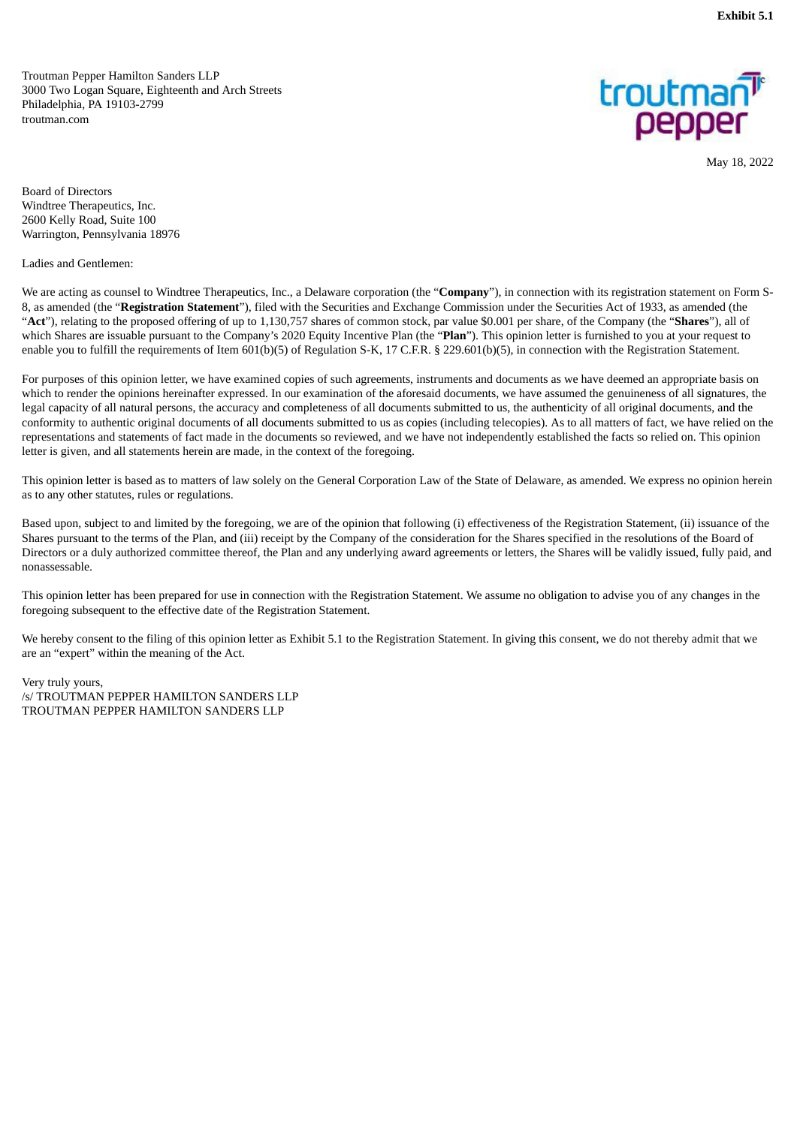<span id="page-5-0"></span>Troutman Pepper Hamilton Sanders LLP 3000 Two Logan Square, Eighteenth and Arch Streets Philadelphia, PA 19103-2799 troutman.com



May 18, 2022

Board of Directors Windtree Therapeutics, Inc. 2600 Kelly Road, Suite 100 Warrington, Pennsylvania 18976

Ladies and Gentlemen:

We are acting as counsel to Windtree Therapeutics, Inc., a Delaware corporation (the "**Company**"), in connection with its registration statement on Form S-8, as amended (the "**Registration Statement**"), filed with the Securities and Exchange Commission under the Securities Act of 1933, as amended (the "**Act**"), relating to the proposed offering of up to 1,130,757 shares of common stock, par value \$0.001 per share, of the Company (the "**Shares**"), all of which Shares are issuable pursuant to the Company's 2020 Equity Incentive Plan (the "**Plan**"). This opinion letter is furnished to you at your request to enable you to fulfill the requirements of Item 601(b)(5) of Regulation S-K, 17 C.F.R. § 229.601(b)(5), in connection with the Registration Statement.

For purposes of this opinion letter, we have examined copies of such agreements, instruments and documents as we have deemed an appropriate basis on which to render the opinions hereinafter expressed. In our examination of the aforesaid documents, we have assumed the genuineness of all signatures, the legal capacity of all natural persons, the accuracy and completeness of all documents submitted to us, the authenticity of all original documents, and the conformity to authentic original documents of all documents submitted to us as copies (including telecopies). As to all matters of fact, we have relied on the representations and statements of fact made in the documents so reviewed, and we have not independently established the facts so relied on. This opinion letter is given, and all statements herein are made, in the context of the foregoing.

This opinion letter is based as to matters of law solely on the General Corporation Law of the State of Delaware, as amended. We express no opinion herein as to any other statutes, rules or regulations.

Based upon, subject to and limited by the foregoing, we are of the opinion that following (i) effectiveness of the Registration Statement, (ii) issuance of the Shares pursuant to the terms of the Plan, and (iii) receipt by the Company of the consideration for the Shares specified in the resolutions of the Board of Directors or a duly authorized committee thereof, the Plan and any underlying award agreements or letters, the Shares will be validly issued, fully paid, and nonassessable.

This opinion letter has been prepared for use in connection with the Registration Statement. We assume no obligation to advise you of any changes in the foregoing subsequent to the effective date of the Registration Statement.

We hereby consent to the filing of this opinion letter as Exhibit 5.1 to the Registration Statement. In giving this consent, we do not thereby admit that we are an "expert" within the meaning of the Act.

Very truly yours, /s/ TROUTMAN PEPPER HAMILTON SANDERS LLP TROUTMAN PEPPER HAMILTON SANDERS LLP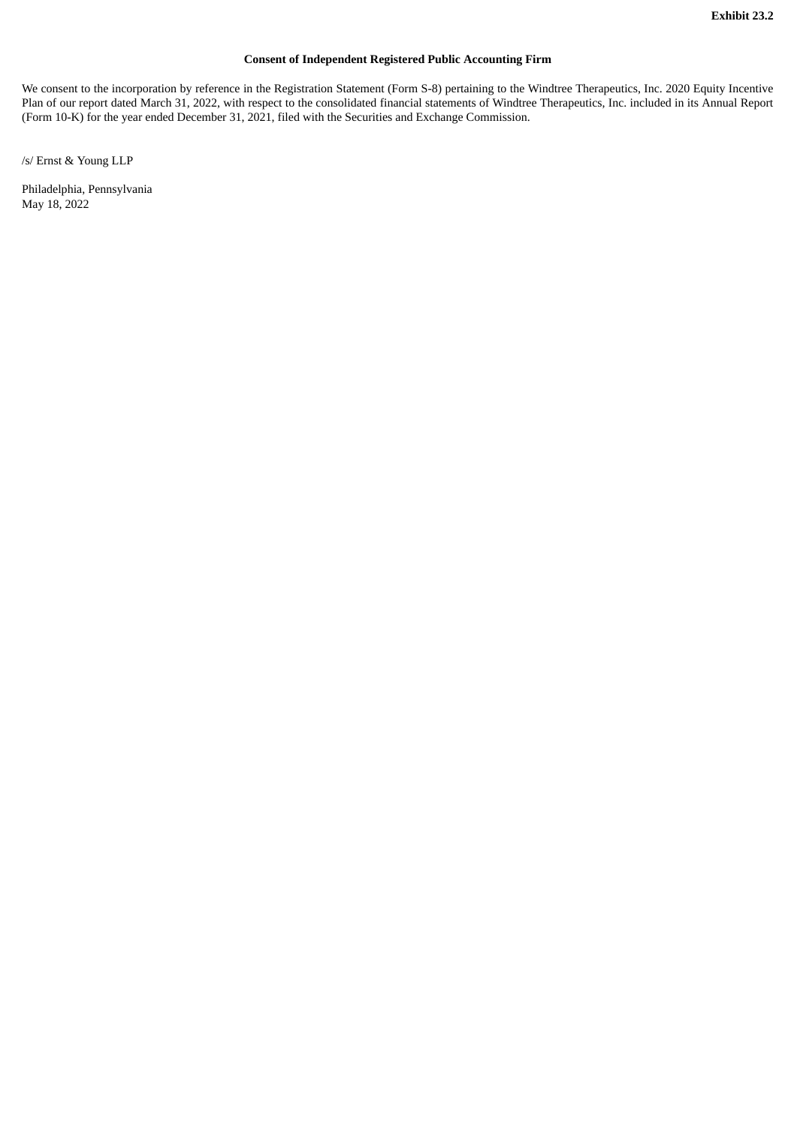# **Consent of Independent Registered Public Accounting Firm**

<span id="page-6-0"></span>We consent to the incorporation by reference in the Registration Statement (Form S-8) pertaining to the Windtree Therapeutics, Inc. 2020 Equity Incentive Plan of our report dated March 31, 2022, with respect to the consolidated financial statements of Windtree Therapeutics, Inc. included in its Annual Report (Form 10-K) for the year ended December 31, 2021, filed with the Securities and Exchange Commission.

/s/ Ernst & Young LLP

Philadelphia, Pennsylvania May 18, 2022